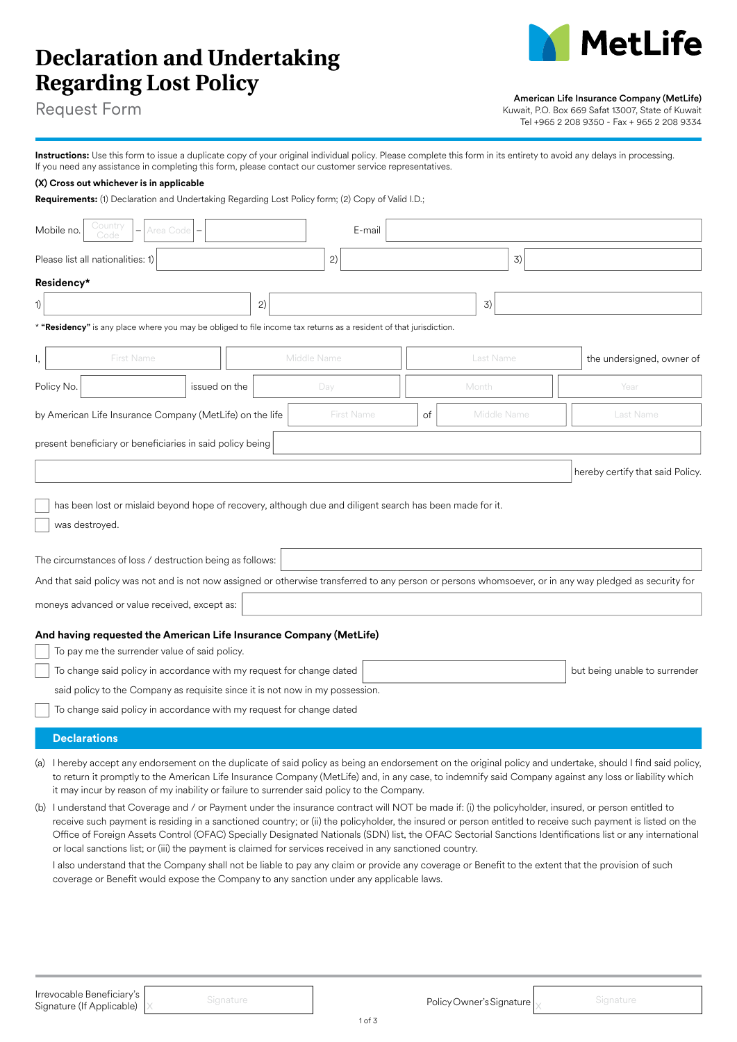# **Declaration and Undertaking Regarding Lost Policy**



American Life Insurance Company (MetLife)

Kuwait, P.O. Box 669 Safat 13007, State of Kuwait Tel +965 2 208 9350 - Fax + 965 2 208 9334

Request Form

| Instructions: Use this form to issue a duplicate copy of your original individual policy. Please complete this form in its entirety to avoid any delays in processing. |
|------------------------------------------------------------------------------------------------------------------------------------------------------------------------|
| If you need any assistance in completing this form, please contact our customer service representatives.                                                               |

## **(X) Cross out whichever is in applicable**

**Requirements:** (1) Declaration and Undertaking Regarding Lost Policy form; (2) Copy of Valid I.D.;

| Country<br>Mobile no.<br>Area Code                                                                                                                                                                                                                                                                                                                                                                                                                                                                                                                                                                                                                                                                                                                                                                                                                                                                                                                                                                                                                                                                                                                                                                                                                                                               |    | E-mail            |    |             |                           |  |  |  |  |  |  |
|--------------------------------------------------------------------------------------------------------------------------------------------------------------------------------------------------------------------------------------------------------------------------------------------------------------------------------------------------------------------------------------------------------------------------------------------------------------------------------------------------------------------------------------------------------------------------------------------------------------------------------------------------------------------------------------------------------------------------------------------------------------------------------------------------------------------------------------------------------------------------------------------------------------------------------------------------------------------------------------------------------------------------------------------------------------------------------------------------------------------------------------------------------------------------------------------------------------------------------------------------------------------------------------------------|----|-------------------|----|-------------|---------------------------|--|--|--|--|--|--|
| Please list all nationalities: 1)                                                                                                                                                                                                                                                                                                                                                                                                                                                                                                                                                                                                                                                                                                                                                                                                                                                                                                                                                                                                                                                                                                                                                                                                                                                                |    | 2)                |    | 3)          |                           |  |  |  |  |  |  |
| Residency*                                                                                                                                                                                                                                                                                                                                                                                                                                                                                                                                                                                                                                                                                                                                                                                                                                                                                                                                                                                                                                                                                                                                                                                                                                                                                       |    |                   |    |             |                           |  |  |  |  |  |  |
| 1)                                                                                                                                                                                                                                                                                                                                                                                                                                                                                                                                                                                                                                                                                                                                                                                                                                                                                                                                                                                                                                                                                                                                                                                                                                                                                               | 2) |                   |    | 3)          |                           |  |  |  |  |  |  |
| * "Residency" is any place where you may be obliged to file income tax returns as a resident of that jurisdiction.                                                                                                                                                                                                                                                                                                                                                                                                                                                                                                                                                                                                                                                                                                                                                                                                                                                                                                                                                                                                                                                                                                                                                                               |    |                   |    |             |                           |  |  |  |  |  |  |
| First Name<br>Ι,                                                                                                                                                                                                                                                                                                                                                                                                                                                                                                                                                                                                                                                                                                                                                                                                                                                                                                                                                                                                                                                                                                                                                                                                                                                                                 |    | Middle Name       |    | Last Name   | the undersigned, owner of |  |  |  |  |  |  |
| Policy No.<br>issued on the                                                                                                                                                                                                                                                                                                                                                                                                                                                                                                                                                                                                                                                                                                                                                                                                                                                                                                                                                                                                                                                                                                                                                                                                                                                                      |    | Day               |    | Month       | Year                      |  |  |  |  |  |  |
| by American Life Insurance Company (MetLife) on the life                                                                                                                                                                                                                                                                                                                                                                                                                                                                                                                                                                                                                                                                                                                                                                                                                                                                                                                                                                                                                                                                                                                                                                                                                                         |    | <b>First Name</b> | of | Middle Name | Last Name                 |  |  |  |  |  |  |
| present beneficiary or beneficiaries in said policy being                                                                                                                                                                                                                                                                                                                                                                                                                                                                                                                                                                                                                                                                                                                                                                                                                                                                                                                                                                                                                                                                                                                                                                                                                                        |    |                   |    |             |                           |  |  |  |  |  |  |
| hereby certify that said Policy.                                                                                                                                                                                                                                                                                                                                                                                                                                                                                                                                                                                                                                                                                                                                                                                                                                                                                                                                                                                                                                                                                                                                                                                                                                                                 |    |                   |    |             |                           |  |  |  |  |  |  |
| was destroyed.<br>The circumstances of loss / destruction being as follows:<br>And that said policy was not and is not now assigned or otherwise transferred to any person or persons whomsoever, or in any way pledged as security for<br>moneys advanced or value received, except as:                                                                                                                                                                                                                                                                                                                                                                                                                                                                                                                                                                                                                                                                                                                                                                                                                                                                                                                                                                                                         |    |                   |    |             |                           |  |  |  |  |  |  |
| And having requested the American Life Insurance Company (MetLife)<br>To pay me the surrender value of said policy.<br>To change said policy in accordance with my request for change dated<br>but being unable to surrender<br>said policy to the Company as requisite since it is not now in my possession.                                                                                                                                                                                                                                                                                                                                                                                                                                                                                                                                                                                                                                                                                                                                                                                                                                                                                                                                                                                    |    |                   |    |             |                           |  |  |  |  |  |  |
| To change said policy in accordance with my request for change dated                                                                                                                                                                                                                                                                                                                                                                                                                                                                                                                                                                                                                                                                                                                                                                                                                                                                                                                                                                                                                                                                                                                                                                                                                             |    |                   |    |             |                           |  |  |  |  |  |  |
| <b>Declarations</b><br>(a) I hereby accept any endorsement on the duplicate of said policy as being an endorsement on the original policy and undertake, should I find said policy,<br>to return it promptly to the American Life Insurance Company (MetLife) and, in any case, to indemnify said Company against any loss or liability which<br>it may incur by reason of my inability or failure to surrender said policy to the Company.<br>(b) I understand that Coverage and / or Payment under the insurance contract will NOT be made if: (i) the policyholder, insured, or person entitled to<br>receive such payment is residing in a sanctioned country; or (ii) the policyholder, the insured or person entitled to receive such payment is listed on the<br>Office of Foreign Assets Control (OFAC) Specially Designated Nationals (SDN) list, the OFAC Sectorial Sanctions Identifications list or any international<br>or local sanctions list; or (iii) the payment is claimed for services received in any sanctioned country.<br>I also understand that the Company shall not be liable to pay any claim or provide any coverage or Benefit to the extent that the provision of such<br>coverage or Benefit would expose the Company to any sanction under any applicable laws. |    |                   |    |             |                           |  |  |  |  |  |  |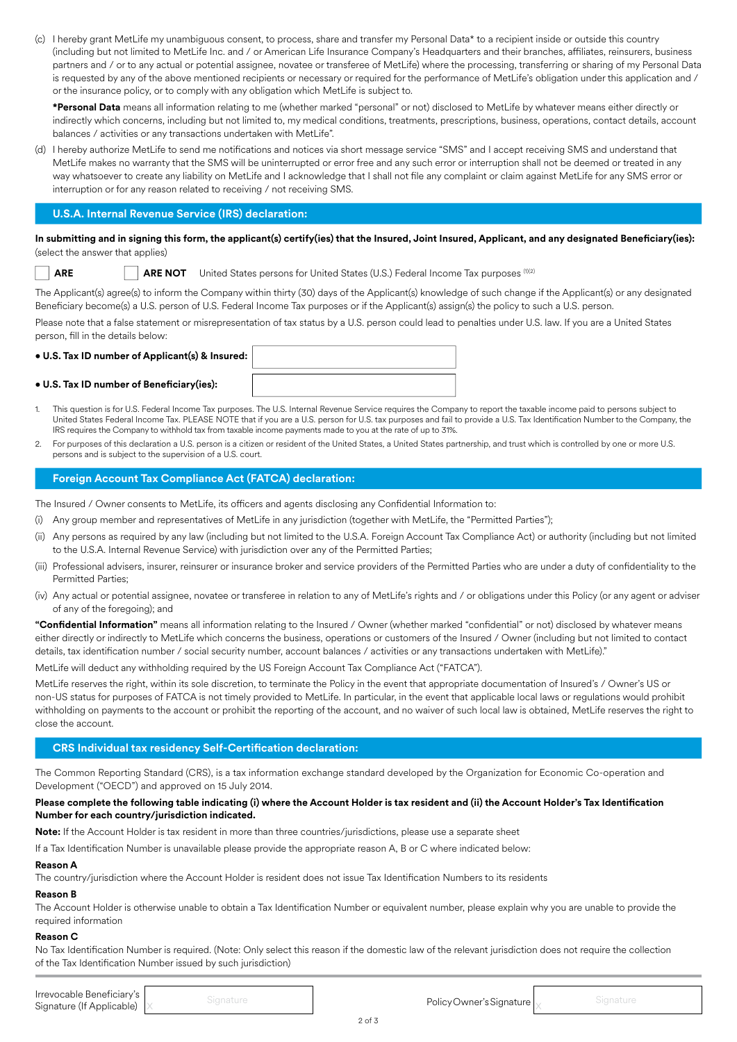(c) I hereby grant MetLife my unambiguous consent, to process, share and transfer my Personal Data\* to a recipient inside or outside this country (including but not limited to MetLife Inc. and / or American Life Insurance Company's Headquarters and their branches, affiliates, reinsurers, business partners and / or to any actual or potential assignee, novatee or transferee of MetLife) where the processing, transferring or sharing of my Personal Data is requested by any of the above mentioned recipients or necessary or required for the performance of MetLife's obligation under this application and / or the insurance policy, or to comply with any obligation which MetLife is subject to.

**\*Personal Data** means all information relating to me (whether marked "personal" or not) disclosed to MetLife by whatever means either directly or indirectly which concerns, including but not limited to, my medical conditions, treatments, prescriptions, business, operations, contact details, account balances / activities or any transactions undertaken with MetLife".

(d) I hereby authorize MetLife to send me notifications and notices via short message service "SMS" and I accept receiving SMS and understand that MetLife makes no warranty that the SMS will be uninterrupted or error free and any such error or interruption shall not be deemed or treated in any way whatsoever to create any liability on MetLife and I acknowledge that I shall not file any complaint or claim against MetLife for any SMS error or interruption or for any reason related to receiving / not receiving SMS.

# **U.S.A. Internal Revenue Service (IRS) declaration:**

## **In submitting and in signing this form, the applicant(s) certify(ies) that the Insured, Joint Insured, Applicant, and any designated Beneficiary(ies):**  (select the answer that applies)

|--|

**ARE NOT** United States persons for United States (U.S.) Federal Income Tax purposes (1)(2)

The Applicant(s) agree(s) to inform the Company within thirty (30) days of the Applicant(s) knowledge of such change if the Applicant(s) or any designated Beneficiary become(s) a U.S. person of U.S. Federal Income Tax purposes or if the Applicant(s) assign(s) the policy to such a U.S. person.

Please note that a false statement or misrepresentation of tax status by a U.S. person could lead to penalties under U.S. law. If you are a United States person, fill in the details below:

# **• U.S. Tax ID number of Applicant(s) & Insured:**

## **• U.S. Tax ID number of Beneficiary(ies):**

- 1. This question is for U.S. Federal Income Tax purposes. The U.S. Internal Revenue Service requires the Company to report the taxable income paid to persons subject to United States Federal Income Tax. PLEASE NOTE that if you are a U.S. person for U.S. tax purposes and fail to provide a U.S. Tax Identification Number to the Company, the IRS requires the Company to withhold tax from taxable income payments made to you at the rate of up to 31%.
- 2. For purposes of this declaration a U.S. person is a citizen or resident of the United States, a United States partnership, and trust which is controlled by one or more U.S. persons and is subject to the supervision of a U.S. court.

# **Foreign Account Tax Compliance Act (FATCA) declaration:**

The Insured / Owner consents to MetLife, its officers and agents disclosing any Confidential Information to:

- Any group member and representatives of MetLife in any jurisdiction (together with MetLife, the "Permitted Parties");
- (ii) Any persons as required by any law (including but not limited to the U.S.A. Foreign Account Tax Compliance Act) or authority (including but not limited to the U.S.A. Internal Revenue Service) with jurisdiction over any of the Permitted Parties;
- (iii) Professional advisers, insurer, reinsurer or insurance broker and service providers of the Permitted Parties who are under a duty of confidentiality to the Permitted Parties;
- (iv) Any actual or potential assignee, novatee or transferee in relation to any of MetLife's rights and / or obligations under this Policy (or any agent or adviser of any of the foregoing); and

**"Confidential Information"** means all information relating to the Insured / Owner (whether marked "confidential" or not) disclosed by whatever means either directly or indirectly to MetLife which concerns the business, operations or customers of the Insured / Owner (including but not limited to contact details, tax identification number / social security number, account balances / activities or any transactions undertaken with MetLife)." MetLife will deduct any withholding required by the US Foreign Account Tax Compliance Act ("FATCA").

MetLife reserves the right, within its sole discretion, to terminate the Policy in the event that appropriate documentation of Insured's / Owner's US or non-US status for purposes of FATCA is not timely provided to MetLife. In particular, in the event that applicable local laws or regulations would prohibit withholding on payments to the account or prohibit the reporting of the account, and no waiver of such local law is obtained, MetLife reserves the right to close the account.

# **CRS Individual tax residency Self-Certification declaration:**

The Common Reporting Standard (CRS), is a tax information exchange standard developed by the Organization for Economic Co-operation and Development ("OECD") and approved on 15 July 2014.

## **Please complete the following table indicating (i) where the Account Holder is tax resident and (ii) the Account Holder's Tax Identification Number for each country/jurisdiction indicated.**

**Note:** If the Account Holder is tax resident in more than three countries/jurisdictions, please use a separate sheet

If a Tax Identification Number is unavailable please provide the appropriate reason A, B or C where indicated below:

#### **Reason A**

The country/jurisdiction where the Account Holder is resident does not issue Tax Identification Numbers to its residents

# **Reason B**

The Account Holder is otherwise unable to obtain a Tax Identification Number or equivalent number, please explain why you are unable to provide the required information

#### **Reason C**

No Tax Identification Number is required. (Note: Only select this reason if the domestic law of the relevant jurisdiction does not require the collection of the Tax Identification Number issued by such jurisdiction)

**Irrevocable Beneficiary's**<br>Signature (If Applicable) x and Signature in the International Component Policy Owner's Signature  $\bigg\uparrow$  Signature **Irrevocable Beneficiary's**<br> **Signature (If Applicable)**  $\times$  Signature